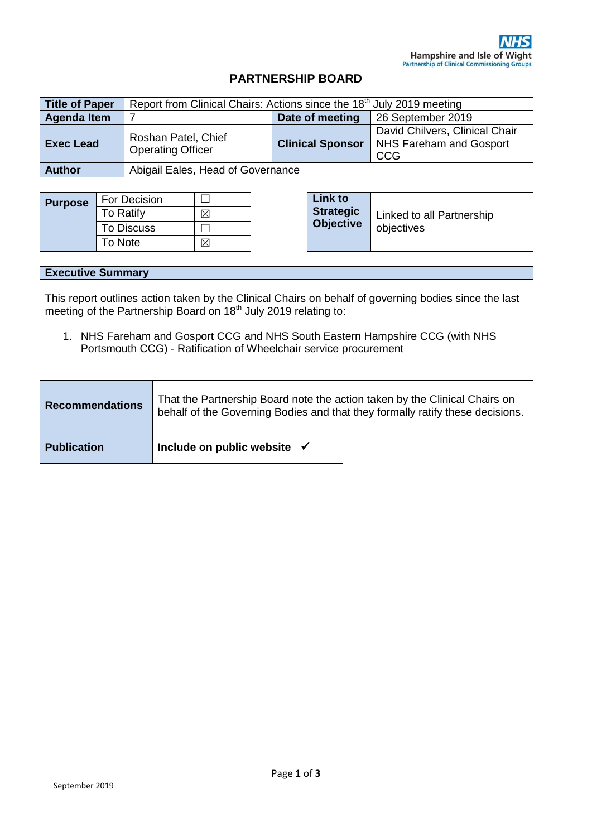## **PARTNERSHIP BOARD**

| <b>Title of Paper</b> | Report from Clinical Chairs: Actions since the 18 <sup>th</sup> July 2019 meeting |                         |                                                                         |
|-----------------------|-----------------------------------------------------------------------------------|-------------------------|-------------------------------------------------------------------------|
| <b>Agenda Item</b>    |                                                                                   | Date of meeting         | 26 September 2019                                                       |
| <b>Exec Lead</b>      | Roshan Patel, Chief<br><b>Operating Officer</b>                                   | <b>Clinical Sponsor</b> | David Chilvers, Clinical Chair<br>NHS Fareham and Gosport<br><b>CCG</b> |
| <b>Author</b>         | Abigail Eales, Head of Governance                                                 |                         |                                                                         |

| <b>Purpose</b> | For Decision      |  | Link to        |
|----------------|-------------------|--|----------------|
|                | <b>To Ratify</b>  |  | <b>Strateg</b> |
|                | <b>To Discuss</b> |  | <b>Objecti</b> |
|                | To Note           |  |                |

| Link to<br><b>Strategic</b><br><b>Objective</b> | Linked to all Partnership<br>objectives |
|-------------------------------------------------|-----------------------------------------|
|-------------------------------------------------|-----------------------------------------|

| <b>Executive Summary</b>                                                                                                                                                                                                                                                                                                                    |                                                                                                                                                             |  |  |  |  |
|---------------------------------------------------------------------------------------------------------------------------------------------------------------------------------------------------------------------------------------------------------------------------------------------------------------------------------------------|-------------------------------------------------------------------------------------------------------------------------------------------------------------|--|--|--|--|
| This report outlines action taken by the Clinical Chairs on behalf of governing bodies since the last<br>meeting of the Partnership Board on 18 <sup>th</sup> July 2019 relating to:<br>NHS Fareham and Gosport CCG and NHS South Eastern Hampshire CCG (with NHS<br>1.<br>Portsmouth CCG) - Ratification of Wheelchair service procurement |                                                                                                                                                             |  |  |  |  |
|                                                                                                                                                                                                                                                                                                                                             |                                                                                                                                                             |  |  |  |  |
| <b>Recommendations</b>                                                                                                                                                                                                                                                                                                                      | That the Partnership Board note the action taken by the Clinical Chairs on<br>behalf of the Governing Bodies and that they formally ratify these decisions. |  |  |  |  |
| <b>Publication</b>                                                                                                                                                                                                                                                                                                                          | Include on public website $\checkmark$                                                                                                                      |  |  |  |  |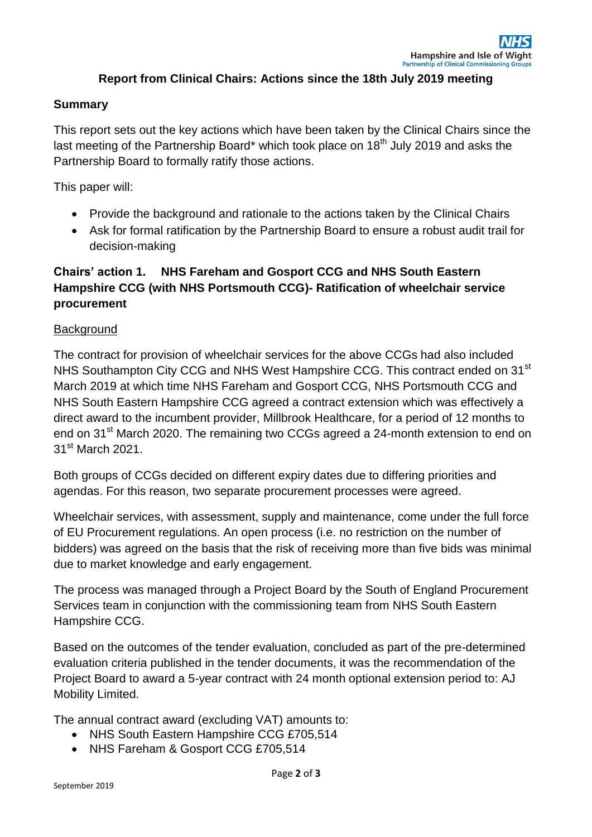### **Report from Clinical Chairs: Actions since the 18th July 2019 meeting**

#### **Summary**

This report sets out the key actions which have been taken by the Clinical Chairs since the last meeting of the Partnership Board\* which took place on 18<sup>th</sup> July 2019 and asks the Partnership Board to formally ratify those actions.

This paper will:

- Provide the background and rationale to the actions taken by the Clinical Chairs
- Ask for formal ratification by the Partnership Board to ensure a robust audit trail for decision-making

# **Chairs' action 1. NHS Fareham and Gosport CCG and NHS South Eastern Hampshire CCG (with NHS Portsmouth CCG)- Ratification of wheelchair service procurement**

#### **Background**

The contract for provision of wheelchair services for the above CCGs had also included NHS Southampton City CCG and NHS West Hampshire CCG. This contract ended on 31<sup>st</sup> March 2019 at which time NHS Fareham and Gosport CCG, NHS Portsmouth CCG and NHS South Eastern Hampshire CCG agreed a contract extension which was effectively a direct award to the incumbent provider, Millbrook Healthcare, for a period of 12 months to end on 31<sup>st</sup> March 2020. The remaining two CCGs agreed a 24-month extension to end on 31st March 2021.

Both groups of CCGs decided on different expiry dates due to differing priorities and agendas. For this reason, two separate procurement processes were agreed.

Wheelchair services, with assessment, supply and maintenance, come under the full force of EU Procurement regulations. An open process (i.e. no restriction on the number of bidders) was agreed on the basis that the risk of receiving more than five bids was minimal due to market knowledge and early engagement.

The process was managed through a Project Board by the South of England Procurement Services team in conjunction with the commissioning team from NHS South Eastern Hampshire CCG.

Based on the outcomes of the tender evaluation, concluded as part of the pre-determined evaluation criteria published in the tender documents, it was the recommendation of the Project Board to award a 5-year contract with 24 month optional extension period to: AJ Mobility Limited.

The annual contract award (excluding VAT) amounts to:

- NHS South Eastern Hampshire CCG £705,514
- NHS Fareham & Gosport CCG £705,514